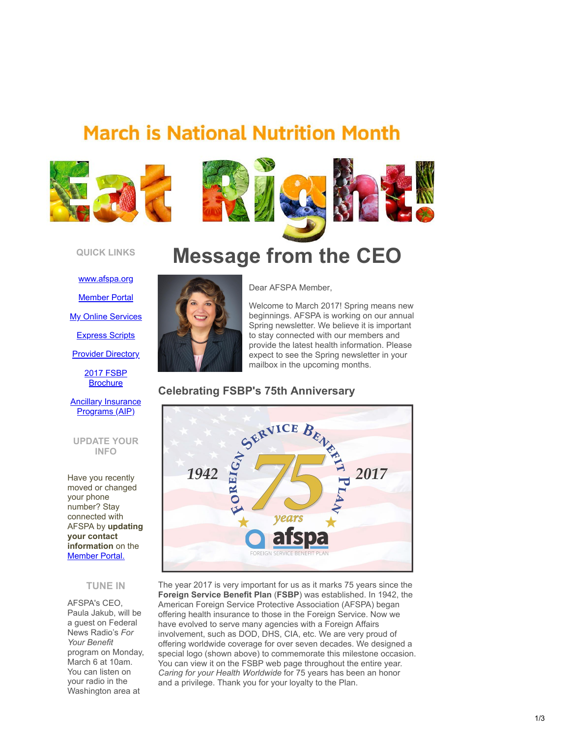# **March is National Nutrition Month**



### **QUICK LINKS**

[www.afspa.org](http://www.afspa.org/?utm_source=Email_marketing_Message_from_CEO-March_2017&utm_campaign=Friday_March_3_2017&cmp=1&utm_medium=HTMLEmail) [Member Portal](https://secure.myafspa.org/?utm_source=Email_marketing_Message_from_CEO-March_2017&utm_campaign=Friday_March_3_2017&cmp=1&utm_medium=HTMLEmail) **[My Online Services](https://member.cvty.com/memberPortalWeb/appmanager/memberPortal/member?utm_source=Email_marketing_Message_from_CEO-March_2017&utm_campaign=Friday_March_3_2017&cmp=1&utm_medium=HTMLEmail)** [Express Scripts](https://www.express-scripts.com/consumer/site/home?partner=FSBP&accessLink=FSBPDCC&utm_source=Email_marketing_Message_from_CEO-March_2017&utm_campaign=Friday_March_3_2017&cmp=1&utm_medium=HTMLEmail)

**[Provider Directory](http://fsbp.coventryhealthcare.com/member-support/locate-a-provider/index.htm?utm_source=Email_marketing_Message_from_CEO-March_2017&utm_campaign=Friday_March_3_2017&cmp=1&utm_medium=HTMLEmail)** 

[2017 FSBP](https://www.afspa.org/filestoreAFSPA/2017RI72-001FSBPBrochure.pdf?utm_source=Email_marketing_Message_from_CEO-March_2017&utm_campaign=Friday_March_3_2017&cmp=1&utm_medium=HTMLEmail) **Brochure** 

### **[Ancillary Insurance](https://www.afspa.org/aip_home.cfm?utm_source=Email_marketing_Message_from_CEO-March_2017&utm_campaign=Friday_March_3_2017&cmp=1&utm_medium=HTMLEmail)** Programs (AIP)

### **UPDATE YOUR INFO**

Have you recently moved or changed your phone number? Stay connected with AFSPA by **updating your contact information** on the [Member Portal.](https://secure.myafspa.org/?utm_source=Email_marketing_Message_from_CEO-March_2017&utm_campaign=Friday_March_3_2017&cmp=1&utm_medium=HTMLEmail)

## **TUNE IN**

AFSPA's CEO, Paula Jakub, will be a guest on Federal News Radio's *For Your Benefit* program on Monday, March 6 at 10am. You can listen on your radio in the Washington area at

# **Message from the CEO**



Dear AFSPA Member,

Welcome to March 2017! Spring means new beginnings. AFSPA is working on our annual Spring newsletter. We believe it is important to stay connected with our members and provide the latest health information. Please expect to see the Spring newsletter in your mailbox in the upcoming months.



The year 2017 is very important for us as it marks 75 years since the **Foreign Service Benefit Plan** (**FSBP**) was established. In 1942, the American Foreign Service Protective Association (AFSPA) began offering health insurance to those in the Foreign Service. Now we have evolved to serve many agencies with a Foreign Affairs involvement, such as DOD, DHS, CIA, etc. We are very proud of offering worldwide coverage for over seven decades. We designed a special logo (shown above) to commemorate this milestone occasion. You can view it on the FSBP web page throughout the entire year. *Caring for your Health Worldwide* for 75 years has been an honor and a privilege. Thank you for your loyalty to the Plan.